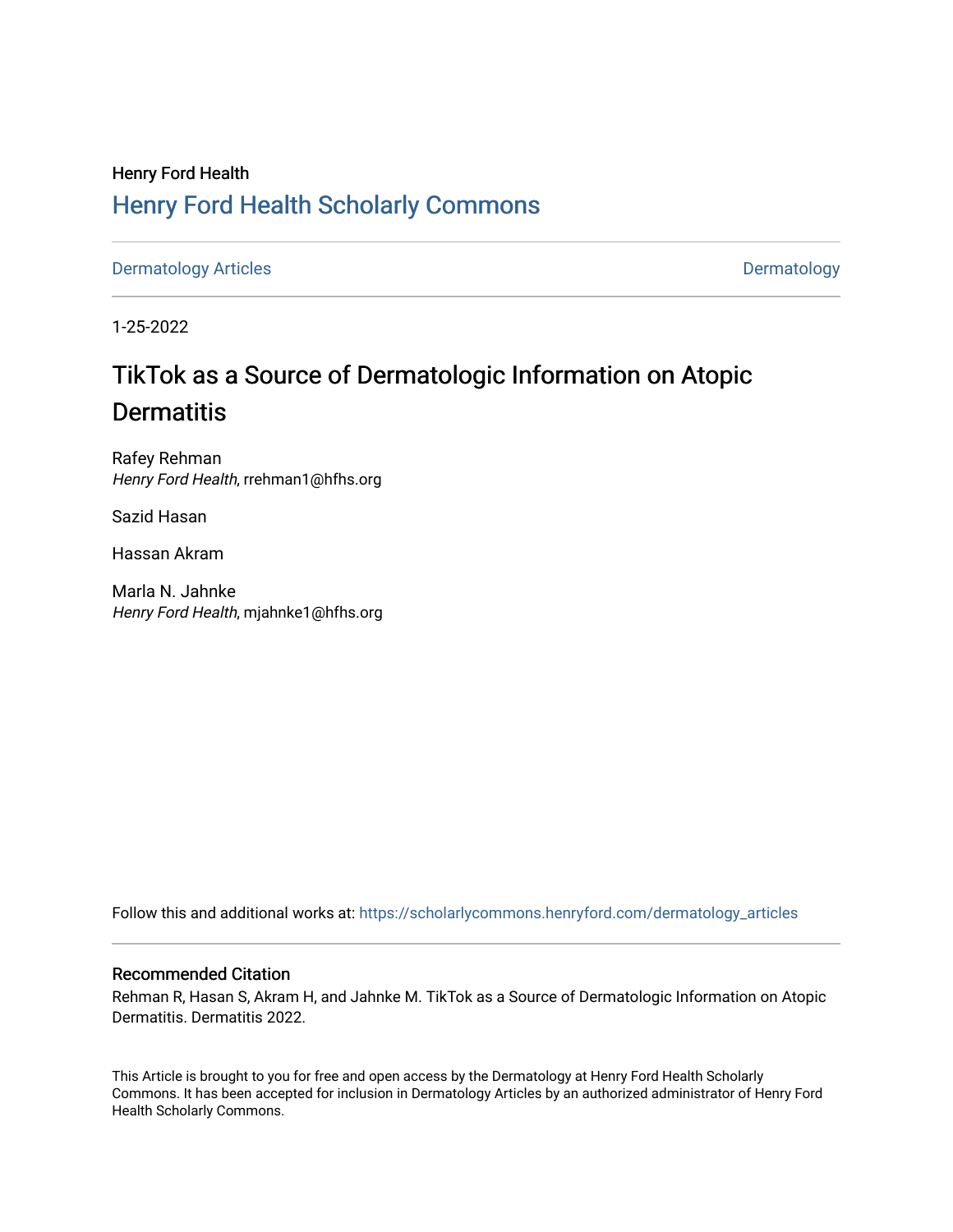## Henry Ford Health [Henry Ford Health Scholarly Commons](https://scholarlycommons.henryford.com/)

[Dermatology Articles](https://scholarlycommons.henryford.com/dermatology_articles) **Dermatology** 

1-25-2022

# TikTok as a Source of Dermatologic Information on Atopic **Dermatitis**

Rafey Rehman Henry Ford Health, rrehman1@hfhs.org

Sazid Hasan

Hassan Akram

Marla N. Jahnke Henry Ford Health, mjahnke1@hfhs.org

Follow this and additional works at: [https://scholarlycommons.henryford.com/dermatology\\_articles](https://scholarlycommons.henryford.com/dermatology_articles?utm_source=scholarlycommons.henryford.com%2Fdermatology_articles%2F645&utm_medium=PDF&utm_campaign=PDFCoverPages)

## Recommended Citation

Rehman R, Hasan S, Akram H, and Jahnke M. TikTok as a Source of Dermatologic Information on Atopic Dermatitis. Dermatitis 2022.

This Article is brought to you for free and open access by the Dermatology at Henry Ford Health Scholarly Commons. It has been accepted for inclusion in Dermatology Articles by an authorized administrator of Henry Ford Health Scholarly Commons.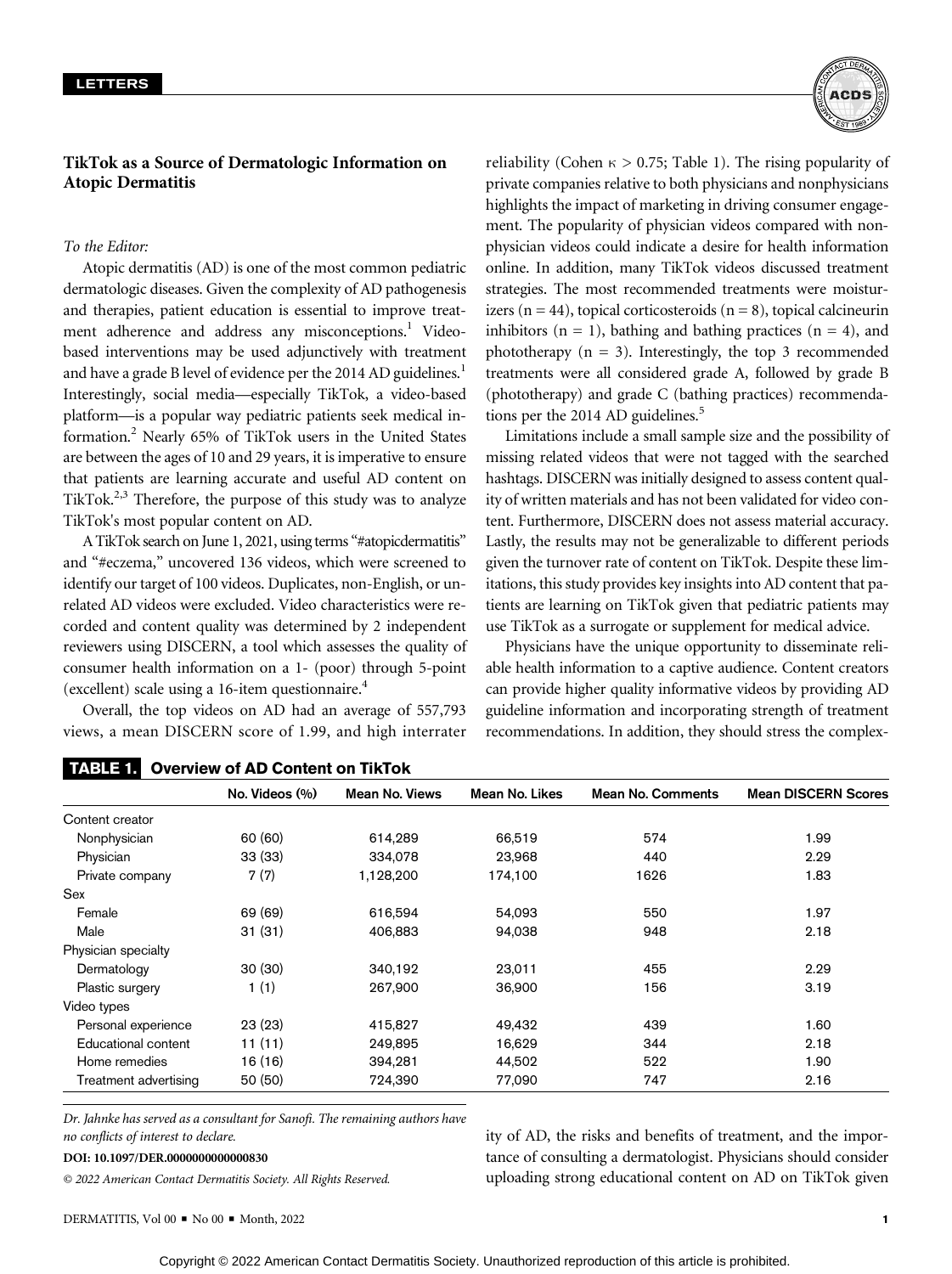## TikTok as a Source of Dermatologic Information on Atopic Dermatitis

### To the Editor:

Atopic dermatitis (AD) is one of the most common pediatric dermatologic diseases. Given the complexity of AD pathogenesis and therapies, patient education is essential to improve treatment adherence and address any misconceptions.<sup>1</sup> Videobased interventions may be used adjunctively with treatment and have a grade B level of evidence per the 2014 AD guidelines.<sup>1</sup> Interestingly, social media—especially TikTok, a video-based platform—is a popular way pediatric patients seek medical information.2 Nearly 65% of TikTok users in the United States are between the ages of 10 and 29 years, it is imperative to ensure that patients are learning accurate and useful AD content on TikTok.<sup>2,3</sup> Therefore, the purpose of this study was to analyze TikTok's most popular content on AD.

A TikTok search on June 1, 2021, using terms "#atopicdermatitis" and "#eczema," uncovered 136 videos, which were screened to identify our target of 100 videos. Duplicates, non-English, or unrelated AD videos were excluded. Video characteristics were recorded and content quality was determined by 2 independent reviewers using DISCERN, a tool which assesses the quality of consumer health information on a 1- (poor) through 5-point (excellent) scale using a 16-item questionnaire.4

Overall, the top videos on AD had an average of 557,793 views, a mean DISCERN score of 1.99, and high interrater

TABLE 1. Overview of AD Content on TikTok



reliability (Cohen  $\kappa > 0.75$ ; Table 1). The rising popularity of private companies relative to both physicians and nonphysicians highlights the impact of marketing in driving consumer engagement. The popularity of physician videos compared with nonphysician videos could indicate a desire for health information online. In addition, many TikTok videos discussed treatment strategies. The most recommended treatments were moisturizers ( $n = 44$ ), topical corticosteroids ( $n = 8$ ), topical calcineurin inhibitors  $(n = 1)$ , bathing and bathing practices  $(n = 4)$ , and phototherapy  $(n = 3)$ . Interestingly, the top 3 recommended treatments were all considered grade A, followed by grade B (phototherapy) and grade C (bathing practices) recommendations per the 2014 AD guidelines.<sup>5</sup>

Limitations include a small sample size and the possibility of missing related videos that were not tagged with the searched hashtags. DISCERN was initially designed to assess content quality of written materials and has not been validated for video content. Furthermore, DISCERN does not assess material accuracy. Lastly, the results may not be generalizable to different periods given the turnover rate of content on TikTok. Despite these limitations, this study provides key insights into AD content that patients are learning on TikTok given that pediatric patients may use TikTok as a surrogate or supplement for medical advice.

Physicians have the unique opportunity to disseminate reliable health information to a captive audience. Content creators can provide higher quality informative videos by providing AD guideline information and incorporating strength of treatment recommendations. In addition, they should stress the complex-

|                       | No. Videos (%) | <b>Mean No. Views</b> | Mean No. Likes | <b>Mean No. Comments</b> | <b>Mean DISCERN Scores</b> |
|-----------------------|----------------|-----------------------|----------------|--------------------------|----------------------------|
| Content creator       |                |                       |                |                          |                            |
| Nonphysician          | 60 (60)        | 614,289               | 66,519         | 574                      | 1.99                       |
| Physician             | 33 (33)        | 334,078               | 23,968         | 440                      | 2.29                       |
| Private company       | 7(7)           | 1,128,200             | 174,100        | 1626                     | 1.83                       |
| Sex                   |                |                       |                |                          |                            |
| Female                | 69 (69)        | 616.594               | 54,093         | 550                      | 1.97                       |
| Male                  | 31(31)         | 406,883               | 94,038         | 948                      | 2.18                       |
| Physician specialty   |                |                       |                |                          |                            |
| Dermatology           | 30(30)         | 340,192               | 23,011         | 455                      | 2.29                       |
| Plastic surgery       | 1(1)           | 267,900               | 36,900         | 156                      | 3.19                       |
| Video types           |                |                       |                |                          |                            |
| Personal experience   | 23(23)         | 415,827               | 49,432         | 439                      | 1.60                       |
| Educational content   | 11(11)         | 249.895               | 16.629         | 344                      | 2.18                       |
| Home remedies         | 16 (16)        | 394,281               | 44,502         | 522                      | 1.90                       |
| Treatment advertising | 50 (50)        | 724,390               | 77,090         | 747                      | 2.16                       |

Dr. Jahnke has served as a consultant for Sanofi. The remaining authors have no conflicts of interest to declare.

© 2022 American Contact Dermatitis Society. All Rights Reserved.

ity of AD, the risks and benefits of treatment, and the importance of consulting a dermatologist. Physicians should consider uploading strong educational content on AD on TikTok given